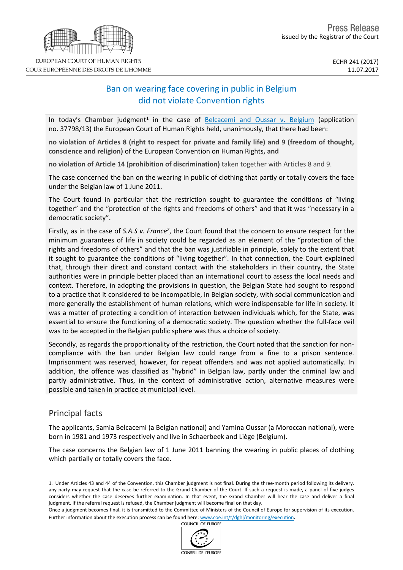# Ban on wearing face covering in public in Belgium did not violate Convention rights

In today's Chamber judgment<sup>1</sup> in the case of **[Belcacemi](http://hudoc.echr.coe.int/eng?i=001-175141) and Oussar v. Belgium** (application no. 37798/13) the European Court of Human Rights held, unanimously, that there had been:

no violation of Articles 8 (right to respect for private and family life) and 9 (freedom of thought, **conscience and religion)** of the European Convention on Human Rights**, and**

**no violation of Article 14 (prohibition of discrimination)** taken together with Articles 8 and 9.

The case concerned the ban on the wearing in public of clothing that partly or totally covers the face under the Belgian law of 1 June 2011.

The Court found in particular that the restriction sought to guarantee the conditions of "living together" and the "protection of the rights and freedoms of others" and that it was "necessary in a democratic society".

Firstly, as in the case of S.A.S v. France<sup>2</sup>, the Court found that the concern to ensure respect for the minimum guarantees of life in society could be regarded as an element of the "protection of the rights and freedoms of others" and that the ban was justifiable in principle, solely to the extent that it sought to guarantee the conditions of "living together". In that connection, the Court explained that, through their direct and constant contact with the stakeholders in their country, the State authorities were in principle better placed than an international court to assess the local needs and context. Therefore, in adopting the provisions in question, the Belgian State had sought to respond to a practice that it considered to be incompatible, in Belgian society, with social communication and more generally the establishment of human relations, which were indispensable for life in society. It was a matter of protecting a condition of interaction between individuals which, for the State, was essential to ensure the functioning of a democratic society. The question whether the full-face veil was to be accepted in the Belgian public sphere was thus a choice of society.

Secondly, as regards the proportionality of the restriction, the Court noted that the sanction for noncompliance with the ban under Belgian law could range from a fine to a prison sentence. Imprisonment was reserved, however, for repeat offenders and was not applied automatically. In addition, the offence was classified as "hybrid" in Belgian law, partly under the criminal law and partly administrative. Thus, in the context of administrative action, alternative measures were possible and taken in practice at municipal level.

# Principal facts

The applicants, Samia Belcacemi (a Belgian national) and Yamina Oussar (a Moroccan national), were born in 1981 and 1973 respectively and live in Schaerbeek and Liège (Belgium).

The case concerns the Belgian law of 1 June 2011 banning the wearing in public places of clothing which partially or totally covers the face.

1. Under Articles 43 and 44 of the Convention, this Chamber judgment is not final. During the three-month period following its delivery, any party may request that the case be referred to the Grand Chamber of the Court. If such a request is made, a panel of five judges considers whether the case deserves further examination. In that event, the Grand Chamber will hear the case and deliver a final judgment. If the referral request is refused, the Chamber judgment will become final on that day.

Once a judgment becomes final, it is transmitted to the Committee of Ministers of the Council of Europe for supervision of its execution. Further information about the execution process can be found here: [www.coe.int/t/dghl/monitoring/execution](http://www.coe.int/t/dghl/monitoring/execution).<br>COUNCIL OF EUROPE

CONSEIL DE L'EUROPE

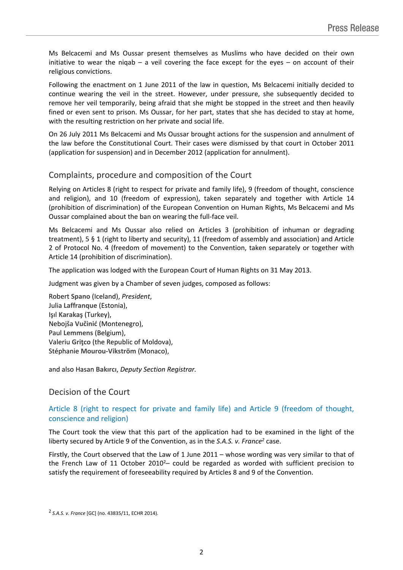Ms Belcacemi and Ms Oussar present themselves as Muslims who have decided on their own initiative to wear the niqab  $-$  a veil covering the face except for the eyes  $-$  on account of their religious convictions.

Following the enactment on 1 June 2011 of the law in question, Ms Belcacemi initially decided to continue wearing the veil in the street. However, under pressure, she subsequently decided to remove her veil temporarily, being afraid that she might be stopped in the street and then heavily fined or even sent to prison. Ms Oussar, for her part, states that she has decided to stay at home, with the resulting restriction on her private and social life.

On 26 July 2011 Ms Belcacemi and Ms Oussar brought actions for the suspension and annulment of the law before the Constitutional Court. Their cases were dismissed by that court in October 2011 (application for suspension) and in December 2012 (application for annulment).

# Complaints, procedure and composition of the Court

Relying on Articles 8 (right to respect for private and family life), 9 (freedom of thought, conscience and religion), and 10 (freedom of expression), taken separately and together with Article 14 (prohibition of discrimination) of the European Convention on Human Rights, Ms Belcacemi and Ms Oussar complained about the ban on wearing the full-face veil.

Ms Belcacemi and Ms Oussar also relied on Articles 3 (prohibition of inhuman or degrading treatment), 5 § 1 (right to liberty and security), 11 (freedom of assembly and association) and Article 2 of Protocol No. 4 (freedom of movement) to the Convention, taken separately or together with Article 14 (prohibition of discrimination).

The application was lodged with the European Court of Human Rights on 31 May 2013.

Judgment was given by a Chamber of seven judges, composed as follows:

Robert **Spano** (Iceland), *President*, Julia **Laffranque** (Estonia), Işıl **Karakaş** (Turkey), Nebojša **Vučinić** (Montenegro), Paul **Lemmens** (Belgium), Valeriu **Griţco** (the Republic of Moldova), Stéphanie **Mourou-Vikström** (Monaco),

and also Hasan **Bakırcı**, *Deputy Section Registrar.*

### Decision of the Court

## Article 8 (right to respect for private and family life) and Article 9 (freedom of thought, conscience and religion)

The Court took the view that this part of the application had to be examined in the light of the liberty secured by Article 9 of the Convention, as in the *S.A.S. v. France<sup>2</sup>* case.

**Firstly**, the Court observed that the Law of 1 June 2011 – whose wording was very similar to that of the French Law of 11 October 2010<sup>2</sup>*–* could be regarded as worded with sufficient precision to satisfy the requirement of foreseeability required by Articles 8 and 9 of the Convention.

<sup>2</sup> *S.A.S. v. France* [GC] (no. 43835/11, ECHR 2014).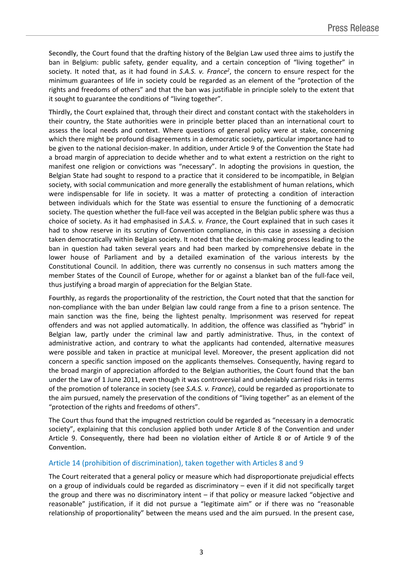**Secondly**, the Court found that the drafting history of the Belgian Law used three aims to justify the ban in Belgium: public safety, gender equality, and a certain conception of "living together" in society. It noted that, as it had found in *S.A.S. v. France<sup>2</sup>* , the concern to ensure respect for the minimum guarantees of life in society could be regarded as an element of the "protection of the rights and freedoms of others" and that the ban was justifiable in principle solely to the extent that it sought to guarantee the conditions of "living together".

**Thirdly,** the Court explained that, through their direct and constant contact with the stakeholders in their country, the State authorities were in principle better placed than an international court to assess the local needs and context. Where questions of general policy were at stake, concerning which there might be profound disagreements in a democratic society, particular importance had to be given to the national decision-maker. In addition, under Article 9 of the Convention the State had a broad margin of appreciation to decide whether and to what extent a restriction on the right to manifest one religion or convictions was "necessary". In adopting the provisions in question, the Belgian State had sought to respond to a practice that it considered to be incompatible, in Belgian society, with social communication and more generally the establishment of human relations, which were indispensable for life in society. It was a matter of protecting a condition of interaction between individuals which for the State was essential to ensure the functioning of a democratic society. The question whether the full-face veil was accepted in the Belgian public sphere was thus a choice of society. As it had emphasised in *S.A.S. v. France*, the Court explained that in such cases it had to show reserve in its scrutiny of Convention compliance, in this case in assessing a decision taken democratically within Belgian society. It noted that the decision-making process leading to the ban in question had taken several years and had been marked by comprehensive debate in the lower house of Parliament and by a detailed examination of the various interests by the Constitutional Council. In addition, there was currently no consensus in such matters among the member States of the Council of Europe, whether for or against a blanket ban of the full-face veil, thus justifying a broad margin of appreciation for the Belgian State.

**Fourthly**, as regards the proportionality of the restriction, the Court noted that that the sanction for non-compliance with the ban under Belgian law could range from a fine to a prison sentence. The main sanction was the fine, being the lightest penalty. Imprisonment was reserved for repeat offenders and was not applied automatically. In addition, the offence was classified as "hybrid" in Belgian law, partly under the criminal law and partly administrative. Thus, in the context of administrative action, and contrary to what the applicants had contended, alternative measures were possible and taken in practice at municipal level. Moreover, the present application did not concern a specific sanction imposed on the applicants themselves. Consequently, having regard to the broad margin of appreciation afforded to the Belgian authorities, the Court found that the ban under the Law of 1 June 2011, even though it was controversial and undeniably carried risks in terms of the promotion of tolerance in society (see *S.A.S. v. France*), could be regarded as proportionate to the aim pursued, namely the preservation of the conditions of "living together" as an element of the "protection of the rights and freedoms of others".

The Court thus found that the impugned restriction could be regarded as "necessary in a democratic society", explaining that this conclusion applied both under Article 8 of the Convention and under Article 9. **Consequently, there had been no violation either of Article 8 or of Article 9 of the Convention.**

### Article 14 (prohibition of discrimination), taken together with Articles 8 and 9

The Court reiterated that a general policy or measure which had disproportionate prejudicial effects on a group of individuals could be regarded as discriminatory – even if it did not specifically target the group and there was no discriminatory intent – if that policy or measure lacked "objective and reasonable" justification, if it did not pursue a "legitimate aim" or if there was no "reasonable relationship of proportionality" between the means used and the aim pursued. In the present case,